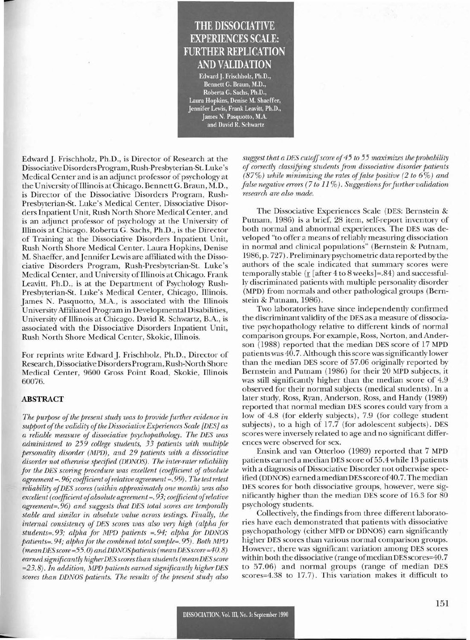# **THE DISSOCIATIVE EXPERIENCES SCALE: FURTHER REPLICATION AND VALIDATION**

Edward]. Frischholz, Ph.D., Bennett G. Braun, M.D., Roberta G. Sachs, Ph.D., Laura Hopkins, Denise M. Shaeffer, Jennifer Lewis, Frank Leavitt, Ph.D., James N. Pasquotto, M.A. and David R. Schwartz

Edward J. Frischholz, Ph.D., is Director of Research at the Dissociative Disorders Program, Rush-Presbyterian-St. Luke's Medical Center and is an adjunct professor of psychology at the University ofIllinois at Chicago. Bennett G. Braun, M.D., is Director of the Dissociative Disorders Program, Rush-Presbyterian-St. Luke's Medical Center, Dissociative Disorders Inpatient Unit, Rush North Shore Medical Center, and is an adjunct professor of psychology at the University of Illinois at Chicago. Roberta G. Sachs, Ph.D., is the Director of Training at the Dissociative Disorders Inpatient Unit, Rush North Shore Medical Center. Laura Hopkins, Denise M. Shaeffer, andJennifer Lewis are affiliated with the Dissociative Disorders Program, Rush-Presbyterian-St. Luke's Medical Center, and University of Illinois at Chicago. Frank Leavitt, Ph.D., is at the Department of Psychology Rush-Presbyterian-St. Luke's Medical Center, Chicago, Illinois. James N. Pasquotto, M.A., is associated with the Illinois University Affiliated Program in Developmental Disabilities, University of Illinois at Chicago. David R. Schwartz, B.A., is associated with the Dissociative Disorders Inpatient Unit, Rush North Shore Medical Center, Skokie, Illinois.

For reprints write Edward J. Frischholz, Ph.D., Director of Research, Dissociative Disorders Program, Rush-North Shore Medical Center, 9600 Gross Point Road, Skokie, Illinois 60076.

### ABSTRACT

*The purpose ofthe present study was to provide further evidence in support ofthe validity ofthe DissociativeExperiences Scale [DES] as a reliable measure of dissociative psychopathology. The DES was administered to* 259 *college students,* 33 *patients with multiple personality disorder (MPD), and* 29 *patients with a dissociative disorder not otherwise specified (DDNOS). The inter-rater reliability for the DES scoring procedure was excellent (coefficient of absolute agreement* =. 96; *coefficient ofrelative agreement* =. 99). *The testretest reliability ofDES scores (within approximately one month) was also excellent (coefficient ofabsolute agreement* =. 93; *coefficient ofrelative agreement=.96) and suggests that DES total scores are temporally stable and similar in absolute value across testings. Finally, the internal consistency of DES scores was also very high (alpha for students=.93; alpha for MPD patients* =.94; *alpha for DDNOS patients=.94; alpha for the combined total sample=.* 95). *Both MPD (meanDESscore=55.0)andDDNOSpatients(meanDESscore=40.8) earned significantly higherDESscoresthan students (mean DESscore =23.8). In addition, MPD patients earned significantly higher DES scores than DDNOS patients. The results of the present study also* *suggest that a DES cutoffscore of*45 *to* 55 *maximizes the probability of correctly classifYing students from dissociative disorder patients (87%) while minimizing the rates offalse positive* (2 *to* 6%) *and false negative errors* (7 *to* 11 %). *Suggestionsforfurther validation research are also made.*

The Dissociative Experiences Scale (DES: Bernstein & Putnam, 1986) is a brief, 28 item, self-report inventory of both normal and abnormal experiences. The DES was developed "to offer a means ofreliably measuring dissociation in normal and clinical populations" (Bernstein & Putnam, 1986, p. 727). Preliminary psychometric data reported by the authors of the scale indicated that summary scores were temporally stable (r [after 4 to 8 weeks] =.84) and successfully discriminated patients with multiple personality disorder (MPD) from normals and other pathological groups (Bernstein & Putnam, 1986).

Two laboratories have since independently confirmed the discriminant validity of the DES as a measure of dissociative psychopathology relative to different kinds of normal comparison groups. For example, Ross, Norton, and Anderson (1988) reported that the median DES score of 17 MPD patients was 40.7. Although this score was significantly lower than the median DES score of 57.06 originally reported by Bernstein and Putnam (1986) for their 20 MPD subjects, it was still significantly higher than the median score of 4.9 observed for their normal subjects (medical students). In a later study, Ross, Ryan, Anderson, Ross, and Handy (1989) reported that normal median DES scores could vary from a low of 4.8 (for elderly subjects), 7.9 (for college student subjects), to a high of 17.7 (for adolescent subjects). DES scores were inversely related to age and no significant differences were observed for sex.

Ensink and van Otterloo (1989) reported that 7 MPD patients earned a median DES score of 55.4 while 13 patients with a diagnosis of Dissociative Disorder not otherwise specified (DDNOS) earned a median DES score of 40.7. The median DES scores for both dissociative groups, however, were significantly higher than the median DES score of 16.3 for 80 psychology students.

Collectively, the findings from three different laboratories have each demonstrated that patients with dissociative psychopathology (either MPD or DDNOS) earn significantly higher DES scores than various normal comparison groups. However, there was significant variation among DES scores within both the dissociative (range of median DES scores=40.7 to 57.06) and normal groups (range of median DES scores=4.38 to 17.7). This variation makes it difficult to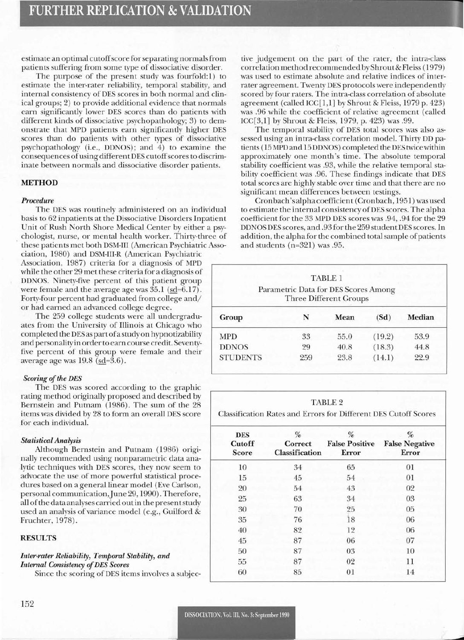estimate an optimal cutoff score for separating normals from patients suffering from some type of dissociative disorder.

The purpose of the present study was fourfold:l) to estimate the inter-rater reliability, temporal stability, and internal consistency of DES scores in both normal and clinical groups; 2) to provide additional evidence that normals earn significantly lower DES scores than do patients with different kinds of dissociative psychopathology; 3) to demonstrate that MPD patients earn significantly higher DES scores than do patients with other types of dissociative psychopathology (i.e., DDNOS); and 4) to examine the consequences of using different DES cutoff scores to discriminate between normals and dissociative disorder patients.

# METHOD

## *Procedure*

The DES was routinely administered on an individual basis to 62 inpatients at the Dissociative Disorders Inpatient Unit of Rush North Shore Medical Center by either a psychologist, nurse, or mental health worker. Thirty-three of . these patients met both DSM-III (American Psychiatric Asso-

ciation, 1980) and DSM-III-R (American Psychiatric Association, 1987) criteria for a diagnosis of MPD while the other 29 met these criteria for a diagnosis of DDNOS. Ninety-five percent of this patient group were female and the average age was  $35.1$  (sd=6.17). Forty-four percent had graduated from college and/ or had earned an advanced college degree.

The 259 college students were all undergraduates from the University of Illinois at Chicago who completed the DES as partofastudyon hypnotizability and personality in orderto earn course credit. Seventyfive percent of this group were female and their average age was  $19.8$  ( $\underline{\text{sd}}=3.6$ ).

# $Scoring$  *of the DES*

The DES was scored according to the graphic rating method originally proposed and described by Bernstein and Putnam (1986). The sum of the 28 items was divided by 28 to form an overall DES score for each individual.

# *Statistical Analysis*

Although Bernstein and Putnam (1986) originally recommended using nonparametric data analytic techniques with DES scores, they now seem to advocate the use of more powerful statistical procedures based on a general linear model (Eve Carlson, personal communication, June 29, 1990). Therefore, all of the data analyses carried out in the present study used an analysis of variance model (e.g., Guilford & Fruchter, 1978).

# RESULTS

# *Inter-rater Reliability, Temporal Stability, and Internal Consistency ofDES Scores*

Since the scoring of DES items involves a subjec-

tive judgement on the part of the rater, the intra-class correlation method recommended by Shrout&Fleiss (1979) was used to estimate absolute and relative indices of interrater agreement. Twenty DES protocols were independently scored by four raters. The intra-class correlation of absolute agreement (called ICC[l,I] by Shrout & Fleiss, 1979 p. 423) was .96 while the coefficient of relative agreement (called ICC[3,1] by Shrout & Fleiss, 1979, p. 423) was .99.

The temporal stability of DES total scores was also assessed using an intra-class correlation model. Thirty DD patients (15 MPD and 15 DDNOS) completed the DES twicewithin approximately one month's time. The absolute temporal stability coefficient was .93, while the relative temporal stability coefficient was .96. These findings indicate that DES total scores are highly stable over time and that there are no significant mean differences between testings.

Cronbach'salphacoefficient (Cronbach, 1951) was used to estimate the internal consistency of DES scores. The alpha coefficient for the 33 MPD DES scores was .94, .94 for the 29 DDNOS DES scores, and .93 for the 259 studentDES scores. In addition, the alpha for the combined total sample of patients and students (n=321) was .95.

| TABLE 1<br>Parametric Data for DES Scores Among<br><b>Three Different Groups</b> |     |      |        |        |  |  |
|----------------------------------------------------------------------------------|-----|------|--------|--------|--|--|
| Group                                                                            | N   | Mean | (Sd)   | Median |  |  |
| <b>MPD</b>                                                                       | 33  | 55.0 | (19.2) | 53.9   |  |  |
| <b>DDNOS</b>                                                                     | 29  | 40.8 | (18.3) | 44.8   |  |  |
| <b>STUDENTS</b>                                                                  | 259 | 23.8 | (14.1) | 22.9   |  |  |

#### TABLE 2

Classification Rates and Errors for Different DES Cutoff Scores

| <b>DES</b><br>Cutoff<br>Score | %<br>Correct<br>Classification | %<br><b>False Positive</b><br>Error | %<br><b>False Negative</b><br>Error |
|-------------------------------|--------------------------------|-------------------------------------|-------------------------------------|
| 10                            | 34                             | 65                                  | 01                                  |
| 15                            | 45                             | 54                                  | 01                                  |
| 20                            | 54                             | 43                                  | 02                                  |
| 25                            | 63                             | 34                                  | 03                                  |
| 30                            | 70                             | 25                                  | 05                                  |
| 35                            | 76                             | 18                                  | 06                                  |
| 40                            | 82                             | 12                                  | 06                                  |
| 45                            | 87                             | 06                                  | 07                                  |
| 50                            | 87                             | 03                                  | 10                                  |
| 55                            | 87                             | 02                                  | 11                                  |
| 60                            | 85                             | 01                                  | 14                                  |